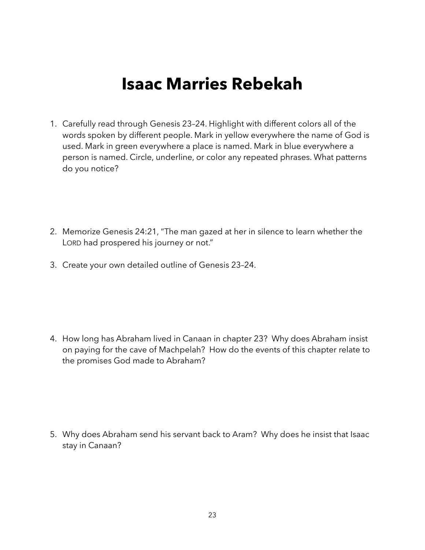## **Isaac Marries Rebekah**

- 1. Carefully read through Genesis 23–24. Highlight with different colors all of the words spoken by different people. Mark in yellow everywhere the name of God is used. Mark in green everywhere a place is named. Mark in blue everywhere a person is named. Circle, underline, or color any repeated phrases. What patterns do you notice?
- 2. Memorize Genesis 24:21, "The man gazed at her in silence to learn whether the LORD had prospered his journey or not."
- 3. Create your own detailed outline of Genesis 23–24.

4. How long has Abraham lived in Canaan in chapter 23? Why does Abraham insist on paying for the cave of Machpelah? How do the events of this chapter relate to the promises God made to Abraham?

5. Why does Abraham send his servant back to Aram? Why does he insist that Isaac stay in Canaan?